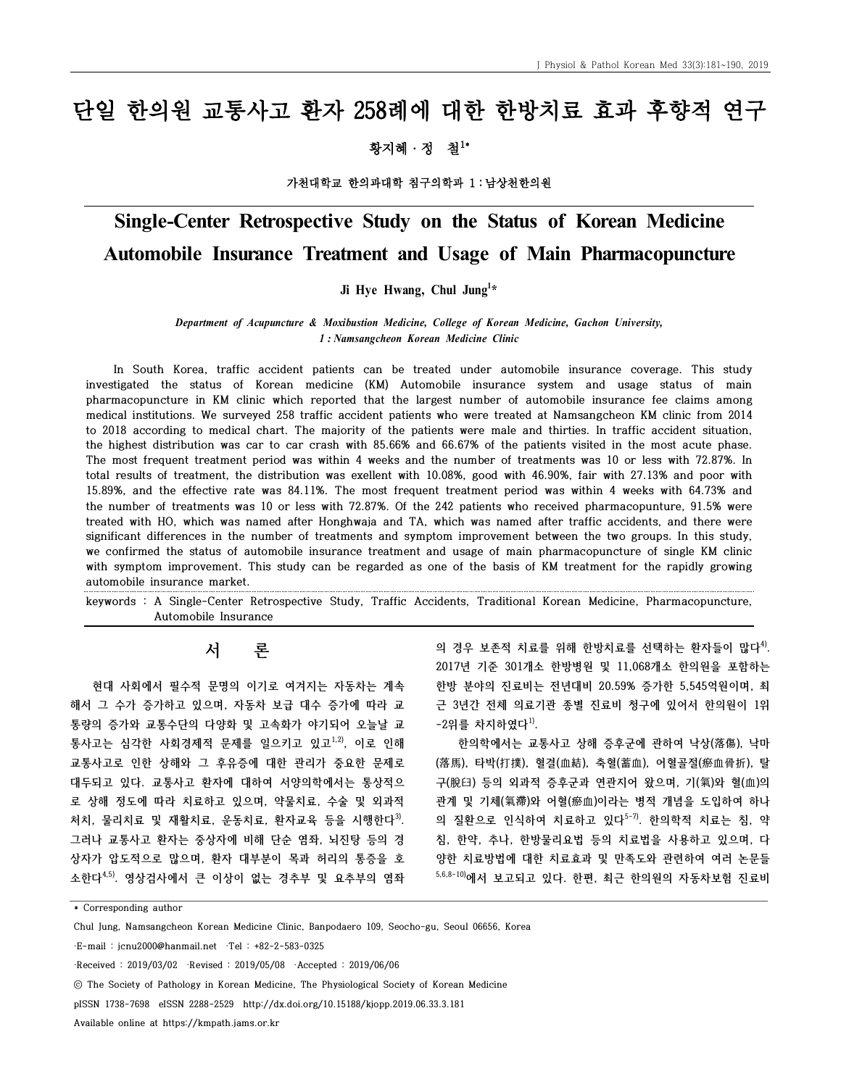# 단일 한의원 교통사고 환자 258례에 대한 한방치료 효과 후향적 연구 황지혜·정 철1\*

가천대학교 한의과대학 침구의학과 1 : 남상천한의원

# **Single-Center Retrospective Study on the Status of Korean Medicine Automobile Insurance Treatment and Usage of Main Pharmacopuncture**

# **Ji Hye Hwang, Chul Jung 1 \***

## *Department of Acupuncture & Moxibustion Medicine, College of Korean Medicine, Gachon University, 1 : Namsangcheon Korean Medicine Clinic*

**In South Korea, traffic accident patients can be treated under automobile insurance coverage. This study investigated the status of Korean medicine (KM) Automobile insurance system and usage status of main pharmacopuncture in KM clinic which reported that the largest number of automobile insurance fee claims among** medical institutions. We surveyed 258 traffic accident patients who were treated at Namsangcheon KM clinic from 2014 to 2018 according to medical chart. The majority of the patients were male and thirties. In traffic accident situation, the highest distribution was car to car crash with 85.66% and 66.67% of the patients visited in the most acute phase. The most frequent treatment period was within 4 weeks and the number of treatments was 10 or less with 72.87%. In total results of treatment, the distribution was exellent with 10.08%, good with 46.90%, fair with 27.13% and poor with 15.89%, and the effective rate was 84.11%. The most frequent treatment period was within 4 weeks with 64.73% and the number of treatments was 10 or less with 72.87%. Of the 242 patients who received pharmacopunture, 91.5% were treated with HO, which was named after Honghwaja and TA, which was named after traffic accidents, and there were significant differences in the number of treatments and symptom improvement between the two groups. In this study, we confirmed the status of automobile insurance treatment and usage of main pharmacopuncture of single KM clinic with symptom improvement. This study can be regarded as one of the basis of KM treatment for the rapidly growing **automobile insurance market.** 

**keywords : A Single-Center Retrospective Study, Traffic Accidents, Traditional Korean Medicine, Pharmacopuncture, Automobile Insurance**

# **서 론**

**현대 사회에서 필수적 문명의 이기로 여겨지는 자동차는 계속 해서 그 수가 증가하고 있으며, 자동차 보급 대수 증가에 따라 교 통량의 증가와 교통수단의 다양화 및 고속화가 야기되어 오늘날 교 통사고는 심각한 사회경제적 문제를 일으키고 있고1,2) , 이로 인해 교통사고로 인한 상해와 그 후유증에 대한 관리가 중요한 문제로 대두되고 있다. 교통사고 환자에 대하여 서양의학에서는 통상적으 로 상해 정도에 따라 치료하고 있으며, 약물치료, 수술 및 외과적 처치, 물리치료 및 재활치료, 운동치료, 환자교육 등을 시행한다3) . 그러나 교통사고 환자는 중상자에 비해 단순 염좌, 뇌진탕 등의 경 상자가 압도적으로 많으며, 환자 대부분이 목과 허리의 통증을 호 소한다4,5) . 영상검사에서 큰 이상이 없는 경추부 및 요추부의 염좌**

**의 경우 보존적 치료를 위해 한방치료를 선택하는 환자들이 많다4) . 2017년 기준 301개소 한방병원 및 11,068개소 한의원을 포함하는 한방 분야의 진료비는 전년대비 20.59% 증가한 5,545억원이며, 최 근 3년간 전체 의료기관 종별 진료비 청구에 있어서 한의원이 1위 -2위를 차지하였다1) .**

**한의학에서는 교통사고 상해 증후군에 관하여 낙상(落傷), 낙마 (落馬), 타박(打撲), 혈결(血結), 축혈(蓄血), 어혈골절(瘀血骨折), 탈 구(脫臼) 등의 외과적 증후군과 연관지어 왔으며, 기(氣)와 혈(血)의 관계 및 기체(氣滯)와 어혈(瘀血)이라는 병적 개념을 도입하여 하나 의 질환으로 인식하여 치료하고 있다5-7) . 한의학적 치료는 침, 약 침, 한약, 추나, 한방물리요법 등의 치료법을 사용하고 있으며, 다 양한 치료방법에 대한 치료효과 및 만족도와 관련하여 여러 논문들 5,6,8-10)에서 보고되고 있다. 한편, 최근 한의원의 자동차보험 진료비**

**Available online at https://kmpath.jams.or.kr**

**<sup>\*</sup> Corresponding author**

**Chul Jung, Namsangcheon Korean Medicine Clinic, Banpodaero 109, Seocho-gu, Seoul 06656, Korea**

**<sup>·</sup>E-mail : jcnu2000@hanmail.net ·Tel : +82-2-583-0325**

**<sup>·</sup>Received : 2019/03/02 ·Revised : 2019/05/08 ·Accepted : 2019/06/06**

**<sup>ⓒ</sup> The Society of Pathology in Korean Medicine, The Physiological Society of Korean Medicine**

**pISSN 1738-7698 eISSN 2288-2529 http://dx.doi.org/10.15188/kjopp.2019.06.33.3.181**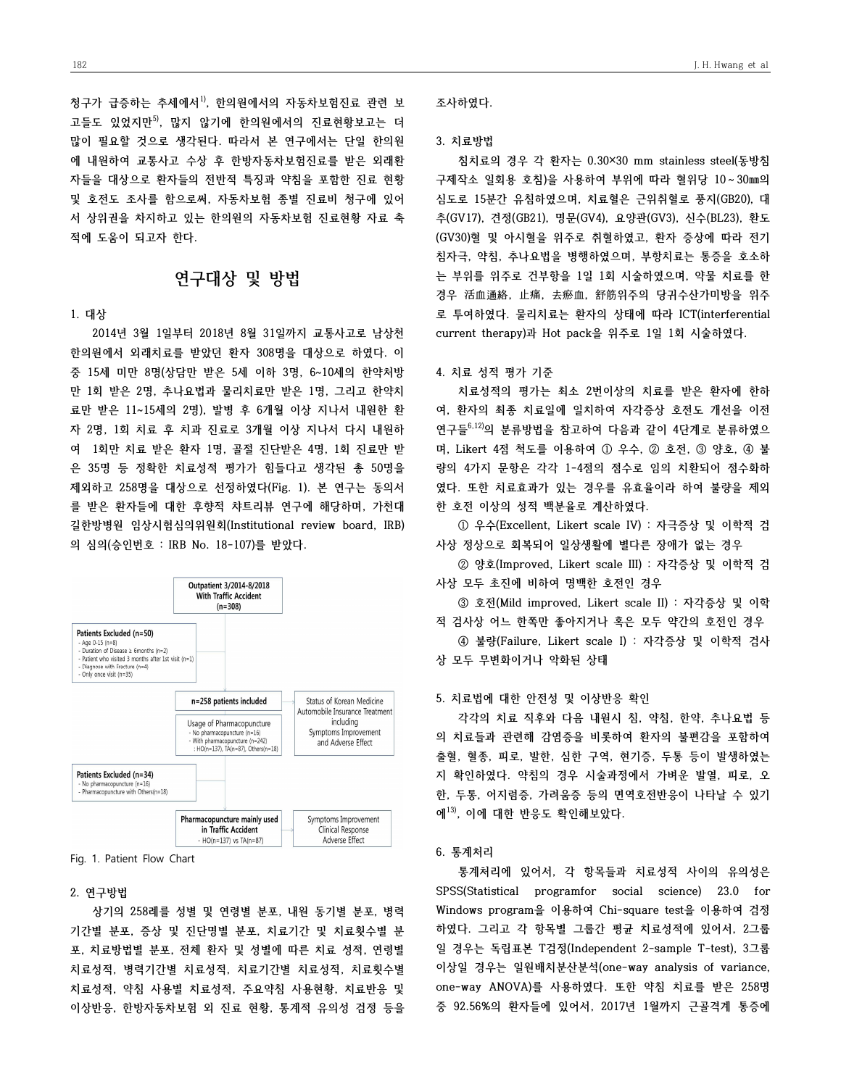**청구가 급증하는 추세에서1) , 한의원에서의 자동차보험진료 관련 보 고들도 있었지만5) , 많지 않기에 한의원에서의 진료현황보고는 더 많이 필요할 것으로 생각된다. 따라서 본 연구에서는 단일 한의원 에 내원하여 교통사고 수상 후 한방자동차보험진료를 받은 외래환 자들을 대상으로 환자들의 전반적 특징과 약침을 포함한 진료 현황 및 호전도 조사를 함으로써, 자동차보험 종별 진료비 청구에 있어 서 상위권을 차지하고 있는 한의원의 자동차보험 진료현황 자료 축 적에 도움이 되고자 한다.**

# **연구대상 및 방법**

**1. 대상**

**2014년 3월 1일부터 2018년 8월 31일까지 교통사고로 남상천 한의원에서 외래치료를 받았던 환자 308명을 대상으로 하였다. 이 중 15세 미만 8명(상담만 받은 5세 이하 3명, 6~10세의 한약처방 만 1회 받은 2명, 추나요법과 물리치료만 받은 1명, 그리고 한약치 료만 받은 11~15세의 2명), 발병 후 6개월 이상 지나서 내원한 환 자 2명, 1회 치료 후 치과 진료로 3개월 이상 지나서 다시 내원하 여 1회만 치료 받은 환자 1명, 골절 진단받은 4명, 1회 진료만 받 은 35명 등 정확한 치료성적 평가가 힘들다고 생각된 총 50명을 제외하고 258명을 대상으로 선정하였다(Fig. 1). 본 연구는 동의서 를 받은 환자들에 대한 후향적 챠트리뷰 연구에 해당하며, 가천대 길한방병원 임상시험심의위원회(Institutional review board, IRB) 의 심의(승인번호 : IRB No. 18-107)를 받았다.**



Fig. 1. Patient Flow Chart

#### **2. 연구방법**

**상기의 258례를 성별 및 연령별 분포, 내원 동기별 분포, 병력 기간별 분포, 증상 및 진단명별 분포, 치료기간 및 치료횟수별 분 포, 치료방법별 분포, 전체 환자 및 성별에 따른 치료 성적, 연령별 치료성적, 병력기간별 치료성적, 치료기간별 치료성적, 치료횟수별 치료성적, 약침 사용별 치료성적, 주요약침 사용현황, 치료반응 및 이상반응, 한방자동차보험 외 진료 현황, 통계적 유의성 검정 등을** **조사하였다.**

## **3. 치료방법**

**침치료의 경우 각 환자는 0.30×30 mm stainless steel(동방침 구제작소 일회용 호침)을 사용하여 부위에 따라 혈위당 10~30㎜의 심도로 15분간 유침하였으며, 치료혈은 근위취혈로 풍지(GB20), 대 추(GV17), 견정(GB21), 명문(GV4), 요양관(GV3), 신수(BL23), 환도 (GV30)혈 및 아시혈을 위주로 취혈하였고, 환자 증상에 따라 전기 침자극, 약침, 추나요법을 병행하였으며, 부항치료는 통증을 호소하 는 부위를 위주로 건부항을 1일 1회 시술하였으며, 약물 치료를 한 경우 活血通絡, 止痛, 去瘀血, 舒筋위주의 당귀수산가미방을 위주 로 투여하였다. 물리치료는 환자의 상태에 따라 ICT(interferential current therapy)과 Hot pack을 위주로 1일 1회 시술하였다.**

### **4. 치료 성적 평가 기준**

**치료성적의 평가는 최소 2번이상의 치료를 받은 환자에 한하 여, 환자의 최종 치료일에 일치하여 자각증상 호전도 개선을 이전 연구들6,12)의 분류방법을 참고하여 다음과 같이 4단계로 분류하였으 며, Likert 4점 척도를 이용하여 ① 우수, ② 호전, ③ 양호, ④ 불 량의 4가지 문항은 각각 1-4점의 점수로 임의 치환되어 점수화하 였다. 또한 치료효과가 있는 경우를 유효율이라 하여 불량을 제외 한 호전 이상의 성적 백분율로 계산하였다.**

**① 우수(Excellent, Likert scale IV) : 자극증상 및 이학적 검 사상 정상으로 회복되어 일상생활에 별다른 장애가 없는 경우**

**② 양호(Improved, Likert scale III) : 자각증상 및 이학적 검 사상 모두 초진에 비하여 명백한 호전인 경우**

**③ 호전(Mild improved, Likert scale II) : 자각증상 및 이학 적 검사상 어느 한쪽만 좋아지거나 혹은 모두 약간의 호전인 경우**

**④ 불량(Failure, Likert scale I) : 자각증상 및 이학적 검사 상 모두 무변화이거나 악화된 상태**

# **5. 치료법에 대한 안전성 및 이상반응 확인**

**각각의 치료 직후와 다음 내원시 침, 약침, 한약, 추나요법 등 의 치료들과 관련해 감염증을 비롯하여 환자의 불편감을 포함하여 출혈, 혈종, 피로, 발한, 심한 구역, 현기증, 두통 등이 발생하였는 지 확인하였다. 약침의 경우 시술과정에서 가벼운 발열, 피로, 오 한, 두통, 어지럼증, 가려움증 등의 면역호전반응이 나타날 수 있기 에13) , 이에 대한 반응도 확인해보았다.**

#### **6. 통계처리**

**통계처리에 있어서, 각 항목들과 치료성적 사이의 유의성은 SPSS(Statistical programfor social science) 23.0 for Windows program을 이용하여 Chi-square test을 이용하여 검정 하였다. 그리고 각 항목별 그룹간 평균 치료성적에 있어서, 2그룹 일 경우는 독립표본 T검정(Independent 2-sample T-test), 3그룹 이상일 경우는 일원배치분산분석(one-way analysis of variance, one-way ANOVA)를 사용하였다. 또한 약침 치료를 받은 258명 중 92.56%의 환자들에 있어서, 2017년 1월까지 근골격계 통증에**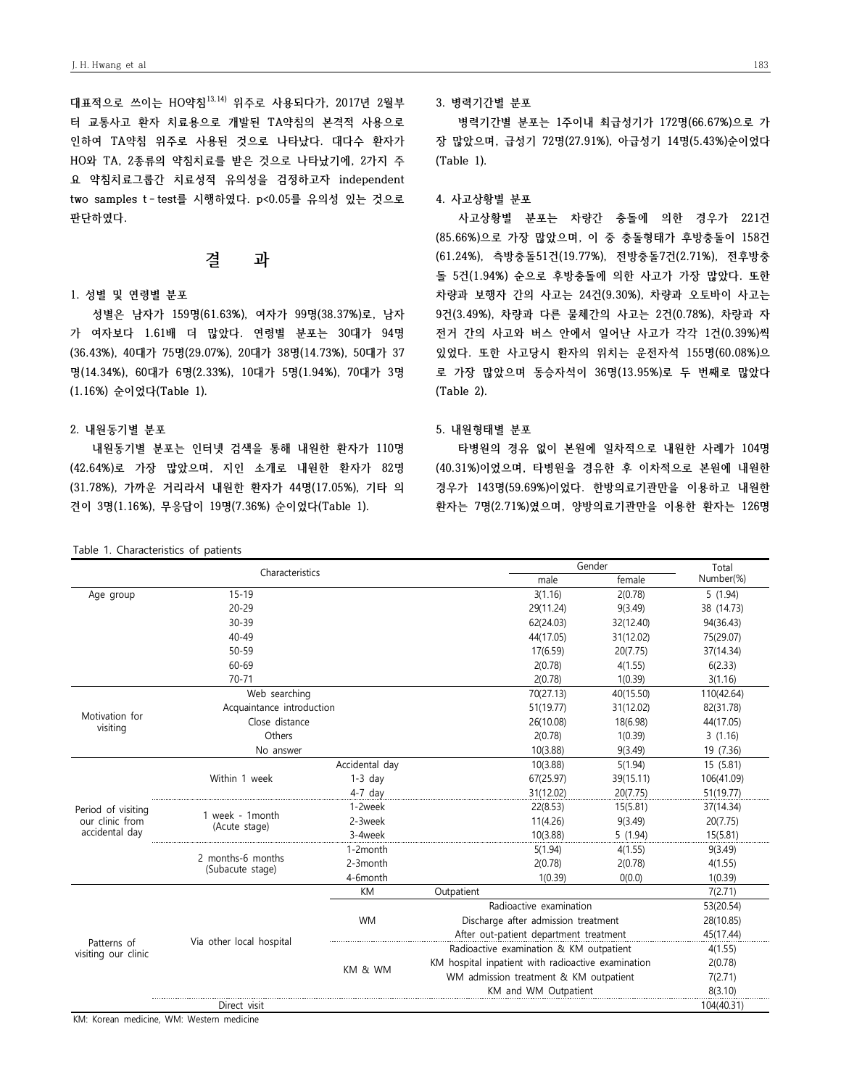**대표적으로 쓰이는 HO약침13,14) 위주로 사용되다가, 2017년 2월부 터 교통사고 환자 치료용으로 개발된 TA약침의 본격적 사용으로 인하여 TA약침 위주로 사용된 것으로 나타났다. 대다수 환자가 HO와 TA, 2종류의 약침치료를 받은 것으로 나타났기에, 2가지 주 요 약침치료그룹간 치료성적 유의성을 검정하고자 independent two samples t-test를 시행하였다. p<0.05를 유의성 있는 것으로 판단하였다.**

# **결 과**

#### **1. 성별 및 연령별 분포**

**성별은 남자가 159명(61.63%), 여자가 99명(38.37%)로, 남자 가 여자보다 1.61배 더 많았다. 연령별 분포는 30대가 94명 (36.43%), 40대가 75명(29.07%), 20대가 38명(14.73%), 50대가 37 명(14.34%), 60대가 6명(2.33%), 10대가 5명(1.94%), 70대가 3명 (1.16%) 순이었다(Table 1).**

# **2. 내원동기별 분포**

**내원동기별 분포는 인터넷 검색을 통해 내원한 환자가 110명 (42.64%)로 가장 많았으며, 지인 소개로 내원한 환자가 82명 (31.78%), 가까운 거리라서 내원한 환자가 44명(17.05%), 기타 의 견이 3명(1.16%), 무응답이 19명(7.36%) 순이었다(Table 1).**

#### Table 1. Characteristics of patients

**병력기간별 분포는 1주이내 최급성기가 172명(66.67%)으로 가 장 많았으며, 급성기 72명(27.91%), 아급성기 14명(5.43%)순이었다 (Table 1).**

**4. 사고상황별 분포**

**사고상황별 분포는 차량간 충돌에 의한 경우가 221건 (85.66%)으로 가장 많았으며, 이 중 충돌형태가 후방충돌이 158건 (61.24%), 측방충돌51건(19.77%), 전방충돌7건(2.71%), 전후방충 돌 5건(1.94%) 순으로 후방충돌에 의한 사고가 가장 많았다. 또한 차량과 보행자 간의 사고는 24건(9.30%), 차량과 오토바이 사고는 9건(3.49%), 차량과 다른 물체간의 사고는 2건(0.78%), 차량과 자 전거 간의 사고와 버스 안에서 일어난 사고가 각각 1건(0.39%)씩 있었다. 또한 사고당시 환자의 위치는 운전자석 155명(60.08%)으 로 가장 많았으며 동승자석이 36명(13.95%)로 두 번째로 많았다 (Table 2).**

# **5. 내원형태별 분포**

**타병원의 경유 없이 본원에 일차적으로 내원한 사례가 104명 (40.31%)이었으며, 타병원을 경유한 후 이차적으로 본원에 내원한 경우가 143명(59.69%)이었다. 한방의료기관만을 이용하고 내원한 환자는 7명(2.71%)였으며, 양방의료기관만을 이용한 환자는 126명**

|                            |                                       |                | Gender                                             |           |            |  |
|----------------------------|---------------------------------------|----------------|----------------------------------------------------|-----------|------------|--|
|                            | Characteristics                       |                | male                                               | female    | Number(%)  |  |
| Age group                  | $15 - 19$                             |                | 3(1.16)                                            | 2(0.78)   | 5(1.94)    |  |
|                            | $20 - 29$                             |                | 29(11.24)                                          | 9(3.49)   | 38 (14.73) |  |
|                            | $30 - 39$                             |                | 62(24.03)                                          | 32(12.40) | 94(36.43)  |  |
|                            | $40 - 49$                             |                | 44(17.05)                                          | 31(12.02) | 75(29.07)  |  |
|                            | $50 - 59$                             |                | 17(6.59)                                           | 20(7.75)  | 37(14.34)  |  |
|                            | 60-69                                 |                | 2(0.78)                                            | 4(1.55)   | 6(2.33)    |  |
|                            | 70-71                                 |                | 2(0.78)                                            | 1(0.39)   | 3(1.16)    |  |
|                            | Web searching                         |                | 70(27.13)                                          | 40(15.50) | 110(42.64) |  |
|                            | Acquaintance introduction             |                | 51(19.77)                                          | 31(12.02) | 82(31.78)  |  |
| Motivation for<br>visiting | Close distance                        |                | 26(10.08)                                          | 18(6.98)  | 44(17.05)  |  |
|                            | Others                                |                | 2(0.78)                                            | 1(0.39)   | 3(1.16)    |  |
|                            | No answer                             |                | 10(3.88)                                           | 9(3.49)   | 19 (7.36)  |  |
|                            | Within 1 week                         | Accidental day | 10(3.88)                                           | 5(1.94)   | 15 (5.81)  |  |
|                            |                                       | $1-3$ day      | 67(25.97)                                          | 39(15.11) | 106(41.09) |  |
|                            |                                       | $4-7$ day      | 31(12.02)                                          | 20(7.75)  | 51(19.77)  |  |
| Period of visiting         | 1 week - 1month<br>(Acute stage)      | 1-2week        | 22(8.53)                                           | 15(5.81)  | 37(14.34)  |  |
| our clinic from            |                                       | 2-3week        | 11(4.26)                                           | 9(3.49)   | 20(7.75)   |  |
| accidental day             |                                       | 3-4week        | 10(3.88)                                           | 5(1.94)   | 15(5.81)   |  |
|                            | 2 months-6 months<br>(Subacute stage) | 1-2month       | 5(1.94)                                            | 4(1.55)   | 9(3.49)    |  |
|                            |                                       | 2-3month       | 2(0.78)                                            | 2(0.78)   | 4(1.55)    |  |
|                            |                                       | 4-6month       | 1(0.39)                                            | 0(0.0)    | 1(0.39)    |  |
|                            |                                       | <b>KM</b>      | Outpatient                                         |           | 7(2.71)    |  |
|                            |                                       |                | Radioactive examination                            |           | 53(20.54)  |  |
|                            |                                       | <b>WM</b>      | Discharge after admission treatment                |           | 28(10.85)  |  |
| Patterns of                | Via other local hospital              |                | After out-patient department treatment             | 45(17.44) |            |  |
| visiting our clinic        |                                       |                | Radioactive examination & KM outpatient            |           | 4(1.55)    |  |
|                            |                                       | KM & WM        | KM hospital inpatient with radioactive examination | 2(0.78)   |            |  |
|                            |                                       |                | WM admission treatment & KM outpatient             | 7(2.71)   |            |  |
|                            |                                       |                | KM and WM Outpatient                               | 8(3.10)   |            |  |
|                            | Direct visit                          |                |                                                    |           | 104(40.31) |  |

KM: Korean medicine, WM: Western medicine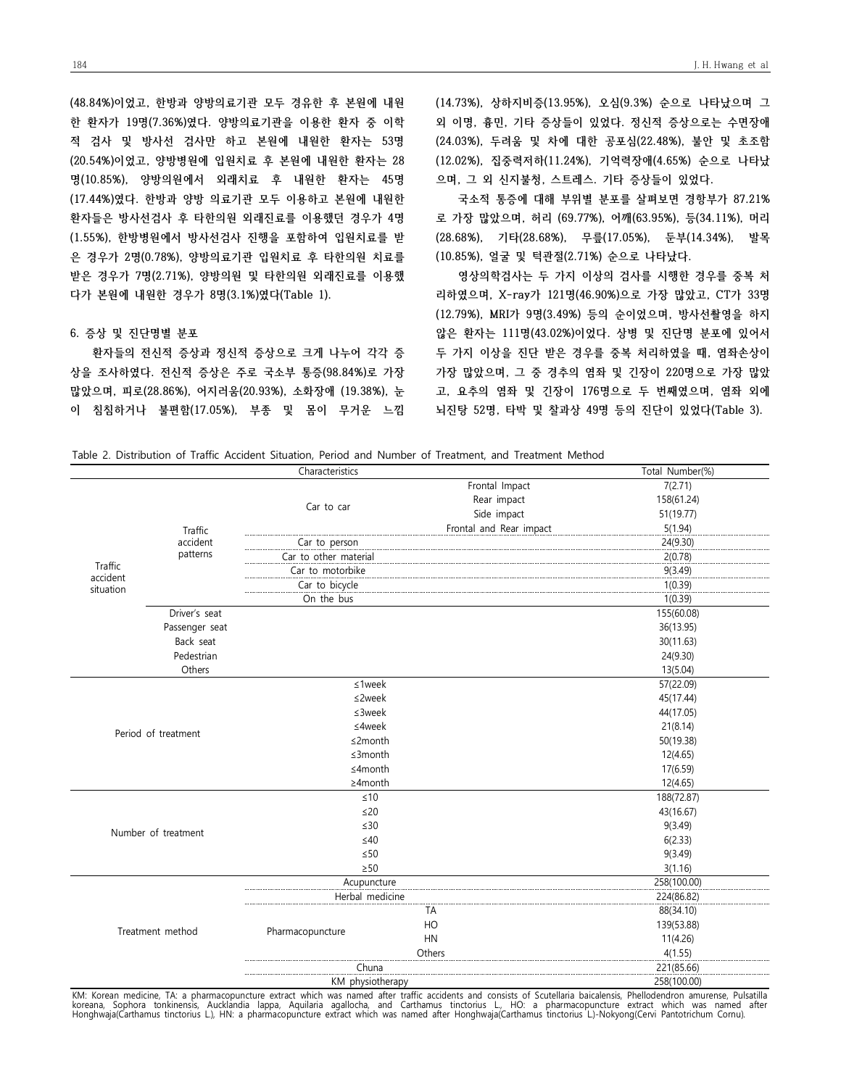**(48.84%)이었고, 한방과 양방의료기관 모두 경유한 후 본원에 내원 한 환자가 19명(7.36%)였다. 양방의료기관을 이용한 환자 중 이학 적 검사 및 방사선 검사만 하고 본원에 내원한 환자는 53명 (20.54%)이었고, 양방병원에 입원치료 후 본원에 내원한 환자는 28 명(10.85%), 양방의원에서 외래치료 후 내원한 환자는 45명 (17.44%)였다. 한방과 양방 의료기관 모두 이용하고 본원에 내원한 환자들은 방사선검사 후 타한의원 외래진료를 이용했던 경우가 4명 (1.55%), 한방병원에서 방사선검사 진행을 포함하여 입원치료를 받 은 경우가 2명(0.78%), 양방의료기관 입원치료 후 타한의원 치료를 받은 경우가 7명(2.71%), 양방의원 및 타한의원 외래진료를 이용했 다가 본원에 내원한 경우가 8명(3.1%)였다(Table 1).**

## **6. 증상 및 진단명별 분포**

**환자들의 전신적 증상과 정신적 증상으로 크게 나누어 각각 증 상을 조사하였다. 전신적 증상은 주로 국소부 통증(98.84%)로 가장 많았으며, 피로(28.86%), 어지러움(20.93%), 소화장애 (19.38%), 눈 이 침침하거나 불편함(17.05%), 부종 및 몸이 무거운 느낌** **(14.73%), 상하지비증(13.95%), 오심(9.3%) 순으로 나타났으며 그 외 이명, 흉민, 기타 증상들이 있었다. 정신적 증상으로는 수면장애 (24.03%), 두려움 및 차에 대한 공포심(22.48%), 불안 및 초조함 (12.02%), 집중력저하(11.24%), 기억력장애(4.65%) 순으로 나타났 으며, 그 외 신지불청, 스트레스. 기타 증상들이 있었다.**

**국소적 통증에 대해 부위별 분포를 살펴보면 경항부가 87.21% 로 가장 많았으며, 허리 (69.77%), 어깨(63.95%), 등(34.11%), 머리 (28.68%), 기타(28.68%), 무릎(17.05%), 둔부(14.34%), 발목 (10.85%), 얼굴 및 턱관절(2.71%) 순으로 나타났다.**

**영상의학검사는 두 가지 이상의 검사를 시행한 경우를 중복 처 리하였으며, X-ray가 121명(46.90%)으로 가장 많았고, CT가 33명 (12.79%), MRI가 9명(3.49%) 등의 순이었으며, 방사선촬영을 하지 않은 환자는 111명(43.02%)이었다. 상병 및 진단명 분포에 있어서 두 가지 이상을 진단 받은 경우를 중복 처리하였을 때, 염좌손상이 가장 많았으며, 그 중 경추의 염좌 및 긴장이 220명으로 가장 많았 고, 요추의 염좌 및 긴장이 176명으로 두 번째였으며, 염좌 외에 뇌진탕 52명, 타박 및 찰과상 49명 등의 진단이 있었다(Table 3).**

| Table 2. Distribution of Traffic Accident Situation. Period and Number of Treatment, and Treatment Method |  |
|-----------------------------------------------------------------------------------------------------------|--|
|-----------------------------------------------------------------------------------------------------------|--|

|                                  |                  | Characteristics       |                         | Total Number(%) |  |
|----------------------------------|------------------|-----------------------|-------------------------|-----------------|--|
|                                  |                  |                       | Frontal Impact          | 7(2.71)         |  |
|                                  |                  | Car to car            | Rear impact             | 158(61.24)      |  |
|                                  |                  |                       | Side impact             | 51(19.77)       |  |
|                                  | Traffic          |                       | Frontal and Rear impact | 5(1.94)         |  |
|                                  | accident         | Car to person         |                         | 24(9.30)        |  |
|                                  | patterns         | Car to other material |                         | 2(0.78)         |  |
| Traffic<br>accident<br>situation |                  | Car to motorbike      |                         | 9(3.49)         |  |
|                                  |                  | Car to bicycle        |                         | 1(0.39)         |  |
|                                  |                  | On the bus            |                         | 1(0.39)         |  |
|                                  | Driver's seat    |                       |                         | 155(60.08)      |  |
|                                  | Passenger seat   |                       |                         | 36(13.95)       |  |
|                                  | Back seat        |                       |                         | 30(11.63)       |  |
|                                  | Pedestrian       |                       |                         | 24(9.30)        |  |
|                                  | Others           |                       |                         | 13(5.04)        |  |
| Period of treatment              |                  | ≤1week                | 57(22.09)               |                 |  |
|                                  |                  | ≤2week                |                         | 45(17.44)       |  |
|                                  |                  | $≤3$ week             |                         | 44(17.05)       |  |
|                                  |                  | $≤4$ week             |                         | 21(8.14)        |  |
|                                  |                  | ≤2month               |                         | 50(19.38)       |  |
|                                  |                  | $\leq$ 3month         |                         | 12(4.65)        |  |
|                                  |                  | $≤4$ month            | 17(6.59)                |                 |  |
|                                  |                  | ≥4month               | 12(4.65)                |                 |  |
| Number of treatment              |                  | $\leq 10$             | 188(72.87)              |                 |  |
|                                  |                  | $\leq$ 20             | 43(16.67)               |                 |  |
|                                  |                  | $\leq 30$             | 9(3.49)                 |                 |  |
|                                  |                  | $\leq 40$             | 6(2.33)                 |                 |  |
|                                  |                  | $\leq 50$             | 9(3.49)                 |                 |  |
|                                  |                  | $\geq 50$             |                         | 3(1.16)         |  |
|                                  |                  | Acupuncture           |                         | 258(100.00)     |  |
|                                  |                  | Herbal medicine       |                         | 224(86.82)      |  |
|                                  |                  |                       | TA                      | 88(34.10)       |  |
|                                  | Treatment method | Pharmacopuncture      | HO                      | 139(53.88)      |  |
|                                  |                  |                       | HN                      | 11(4.26)        |  |
|                                  |                  |                       | Others                  | 4(1.55)         |  |
|                                  |                  | Chuna                 | 221(85.66)              |                 |  |
|                                  |                  | KM physiotherapy      | 258(100.00)             |                 |  |

KM: Korean medicine, TA: a pharmacopuncture extract which was named after traffic accidents and consists of Scutellaria baicalensis, Phellodendron amurense, Pulsatilla koreana, Sophora tonkinensis, Aucklandia lappa, Aquilaria agallocha, and Carthamus tinctorius L., HO: a pharmacopuncture extract which was named after<br>Honghwaja(Carthamus-tinctorius-L.), HN: a-pharmacopuncture-extract-whic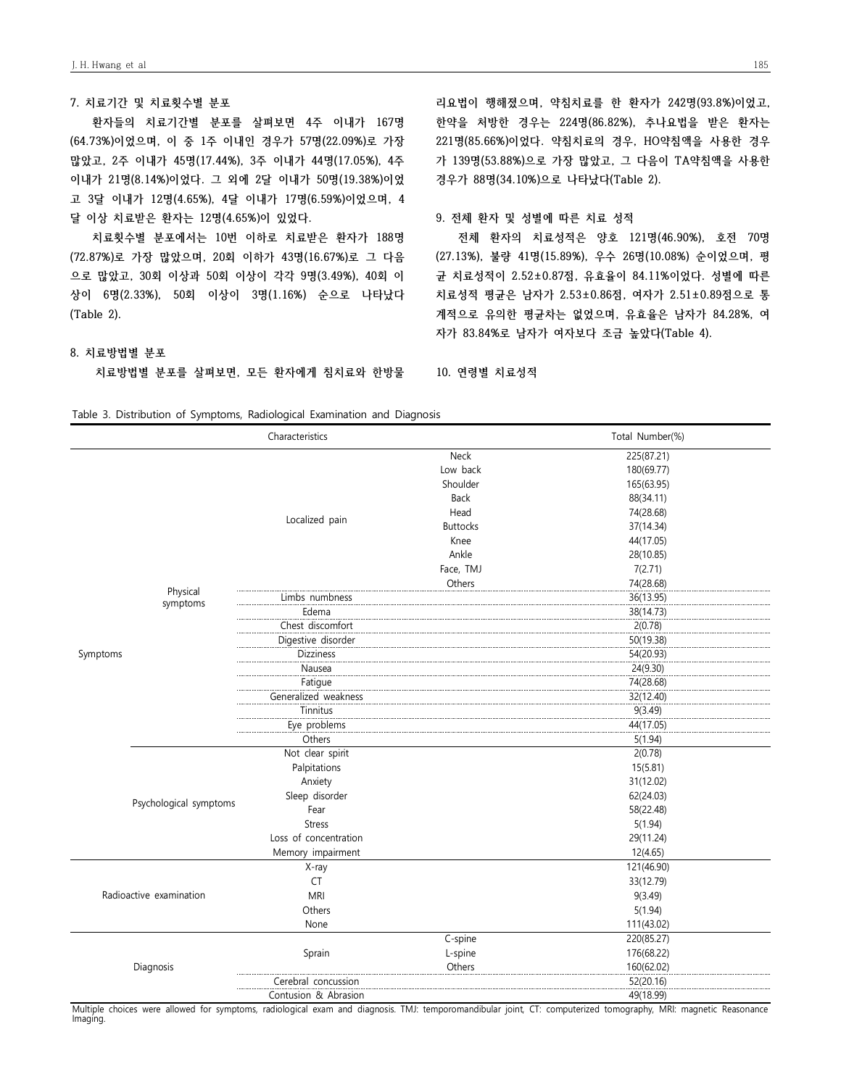#### **7. 치료기간 및 치료횟수별 분포**

**환자들의 치료기간별 분포를 살펴보면 4주 이내가 167명 (64.73%)이었으며, 이 중 1주 이내인 경우가 57명(22.09%)로 가장 많았고, 2주 이내가 45명(17.44%), 3주 이내가 44명(17.05%), 4주 이내가 21명(8.14%)이었다. 그 외에 2달 이내가 50명(19.38%)이었 고 3달 이내가 12명(4.65%), 4달 이내가 17명(6.59%)이었으며, 4 달 이상 치료받은 환자는 12명(4.65%)이 있었다.**

**치료횟수별 분포에서는 10번 이하로 치료받은 환자가 188명 (72.87%)로 가장 많았으며, 20회 이하가 43명(16.67%)로 그 다음 으로 많았고, 30회 이상과 50회 이상이 각각 9명(3.49%), 40회 이 상이 6명(2.33%), 50회 이상이 3명(1.16%) 순으로 나타났다 (Table 2).**

## **8. 치료방법별 분포**

**치료방법별 분포를 살펴보면, 모든 환자에게 침치료와 한방물**

**리요법이 행해졌으며, 약침치료를 한 환자가 242명(93.8%)이었고, 한약을 처방한 경우는 224명(86.82%), 추나요법을 받은 환자는 221명(85.66%)이었다. 약침치료의 경우, HO약침액을 사용한 경우 가 139명(53.88%)으로 가장 많았고, 그 다음이 TA약침액을 사용한 경우가 88명(34.10%)으로 나타났다(Table 2).**

# **9. 전체 환자 및 성별에 따른 치료 성적**

**전체 환자의 치료성적은 양호 121명(46.90%), 호전 70명 (27.13%), 불량 41명(15.89%), 우수 26명(10.08%) 순이었으며, 평 균 치료성적이 2.52±0.87점, 유효율이 84.11%이었다. 성별에 따른 치료성적 평균은 남자가 2.53±0.86점, 여자가 2.51±0.89점으로 통 계적으로 유의한 평균차는 없었으며, 유효율은 남자가 84.28%, 여 자가 83.84%로 남자가 여자보다 조금 높았다(Table 4).**

**10. 연령별 치료성적**

| Table 3. Distribution of Symptoms, Radiological Examination and Diagnosis |  |  |
|---------------------------------------------------------------------------|--|--|
|---------------------------------------------------------------------------|--|--|

|                         |                        | Characteristics       |                 | Total Number(%) |  |  |
|-------------------------|------------------------|-----------------------|-----------------|-----------------|--|--|
|                         |                        |                       | Neck            | 225(87.21)      |  |  |
|                         |                        |                       | Low back        | 180(69.77)      |  |  |
|                         |                        |                       | Shoulder        | 165(63.95)      |  |  |
|                         |                        |                       | <b>Back</b>     | 88(34.11)       |  |  |
|                         |                        |                       | Head            | 74(28.68)       |  |  |
|                         |                        | Localized pain        | <b>Buttocks</b> | 37(14.34)       |  |  |
|                         |                        |                       | Knee            | 44(17.05)       |  |  |
|                         |                        |                       | Ankle           | 28(10.85)       |  |  |
|                         |                        |                       | Face, TMJ       | 7(2.71)         |  |  |
|                         |                        |                       | Others          | 74(28.68)       |  |  |
|                         | Physical<br>symptoms   | Limbs numbness        |                 | 36(13.95)       |  |  |
|                         |                        | Edema                 |                 | 38(14.73)       |  |  |
|                         |                        | Chest discomfort      |                 | 2(0.78)         |  |  |
|                         |                        | Digestive disorder    |                 | 50(19.38)       |  |  |
| Symptoms                |                        | <b>Dizziness</b>      |                 | 54(20.93)       |  |  |
|                         |                        | Nausea                |                 | 24(9.30)        |  |  |
|                         |                        | Fatigue               |                 | 74(28.68)       |  |  |
|                         |                        | Generalized weakness  |                 | 32(12.40)       |  |  |
|                         |                        | Tinnitus              |                 | 9(3.49)         |  |  |
|                         |                        | Eye problems          |                 | 44(17.05)       |  |  |
|                         |                        | Others                |                 | 5(1.94)         |  |  |
|                         |                        | Not clear spirit      |                 | 2(0.78)         |  |  |
|                         |                        | Palpitations          |                 | 15(5.81)        |  |  |
|                         |                        | Anxiety               |                 | 31(12.02)       |  |  |
|                         |                        | Sleep disorder        |                 | 62(24.03)       |  |  |
|                         | Psychological symptoms | Fear                  |                 | 58(22.48)       |  |  |
|                         |                        | <b>Stress</b>         |                 | 5(1.94)         |  |  |
|                         |                        | Loss of concentration |                 | 29(11.24)       |  |  |
|                         |                        | Memory impairment     |                 | 12(4.65)        |  |  |
|                         |                        | X-ray                 |                 | 121(46.90)      |  |  |
|                         |                        | CT                    |                 | 33(12.79)       |  |  |
| Radioactive examination |                        | <b>MRI</b>            |                 | 9(3.49)         |  |  |
|                         |                        | Others                |                 | 5(1.94)         |  |  |
|                         |                        | None                  |                 | 111(43.02)      |  |  |
|                         |                        |                       | C-spine         | 220(85.27)      |  |  |
|                         |                        | Sprain                | L-spine         | 176(68.22)      |  |  |
|                         | Diagnosis              |                       | Others          | 160(62.02)      |  |  |
|                         |                        | Cerebral concussion   |                 | 52(20.16)       |  |  |
|                         |                        | Contusion & Abrasion  |                 | 49(18.99)       |  |  |

Multiple choices were allowed for symptoms, radiological exam and diagnosis. TMJ: temporomandibular joint, CT: computerized tomography, MRI: magnetic Reasonance Imaging.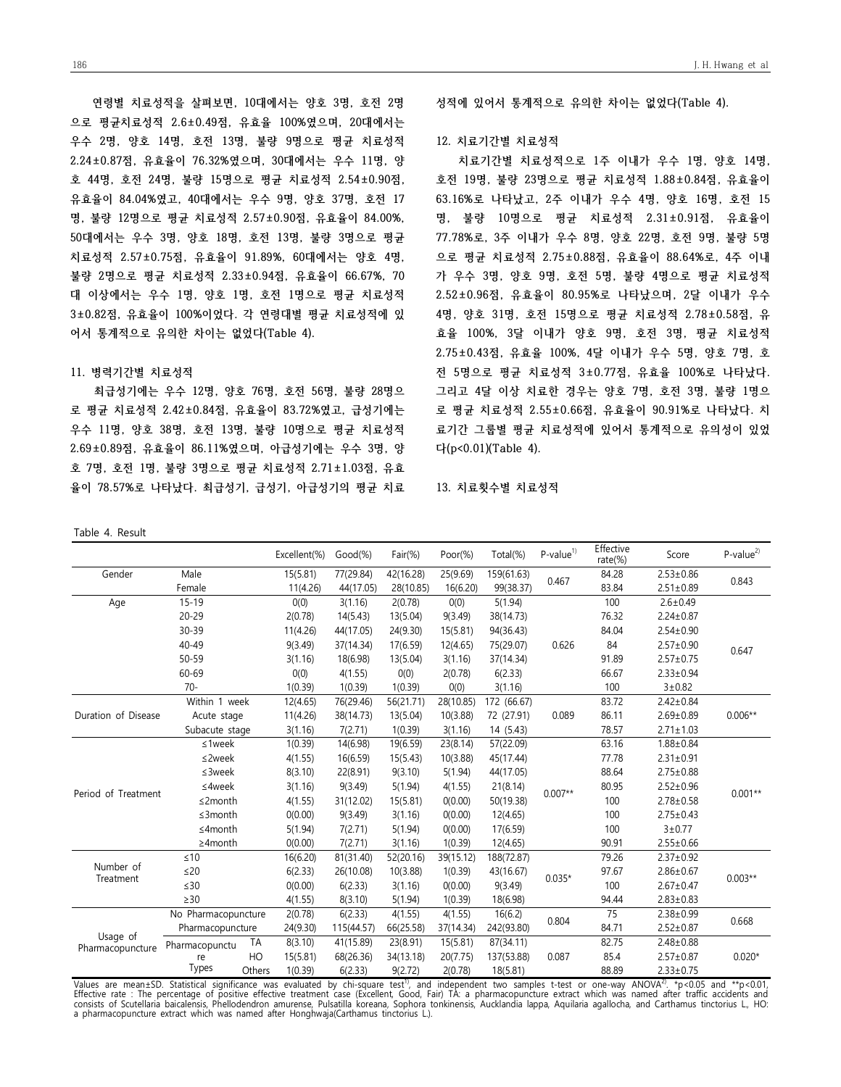**연령별 치료성적을 살펴보면, 10대에서는 양호 3명, 호전 2명 으로 평균치료성적 2.6±0.49점, 유효율 100%였으며, 20대에서는 우수 2명, 양호 14명, 호전 13명, 불량 9명으로 평균 치료성적 2.24±0.87점, 유효율이 76.32%였으며, 30대에서는 우수 11명, 양 호 44명, 호전 24명, 불량 15명으로 평균 치료성적 2.54±0.90점, 유효율이 84.04%였고, 40대에서는 우수 9명, 양호 37명, 호전 17 명, 불량 12명으로 평균 치료성적 2.57±0.90점, 유효율이 84.00%, 50대에서는 우수 3명, 양호 18명, 호전 13명, 불량 3명으로 평균 치료성적 2.57±0.75점, 유효율이 91.89%, 60대에서는 양호 4명, 불량 2명으로 평균 치료성적 2.33±0.94점, 유효율이 66.67%, 70 대 이상에서는 우수 1명, 양호 1명, 호전 1명으로 평균 치료성적 3±0.82점, 유효율이 100%이었다. 각 연령대별 평균 치료성적에 있 어서 통계적으로 유의한 차이는 없었다(Table 4).**

#### **11. 병력기간별 치료성적**

**최급성기에는 우수 12명, 양호 76명, 호전 56명, 불량 28명으 로 평균 치료성적 2.42±0.84점, 유효율이 83.72%였고, 급성기에는 우수 11명, 양호 38명, 호전 13명, 불량 10명으로 평균 치료성적 2.69±0.89점, 유효율이 86.11%였으며, 아급성기에는 우수 3명, 양 호 7명, 호전 1명, 불량 3명으로 평균 치료성적 2.71±1.03점, 유효 율이 78.57%로 나타났다. 최급성기, 급성기, 아급성기의 평균 치료** **성적에 있어서 통계적으로 유의한 차이는 없었다(Table 4).**

#### **12. 치료기간별 치료성적**

**치료기간별 치료성적으로 1주 이내가 우수 1명, 양호 14명, 호전 19명, 불량 23명으로 평균 치료성적 1.88±0.84점, 유효율이 63.16%로 나타났고, 2주 이내가 우수 4명, 양호 16명, 호전 15 명, 불량 10명으로 평균 치료성적 2.31±0.91점, 유효율이 77.78%로, 3주 이내가 우수 8명, 양호 22명, 호전 9명, 불량 5명 으로 평균 치료성적 2.75±0.88점, 유효율이 88.64%로, 4주 이내 가 우수 3명, 양호 9명, 호전 5명, 불량 4명으로 평균 치료성적 2.52±0.96점, 유효율이 80.95%로 나타났으며, 2달 이내가 우수 4명, 양호 31명, 호전 15명으로 평균 치료성적 2.78±0.58점, 유 효율 100%, 3달 이내가 양호 9명, 호전 3명, 평균 치료성적 2.75±0.43점, 유효율 100%, 4달 이내가 우수 5명, 양호 7명, 호 전 5명으로 평균 치료성적 3±0.77점, 유효율 100%로 나타났다. 그리고 4달 이상 치료한 경우는 양호 7명, 호전 3명, 불량 1명으 로 평균 치료성적 2.55±0.66점, 유효율이 90.91%로 나타났다. 치 료기간 그룹별 평균 치료성적에 있어서 통계적으로 유의성이 있었 다(p<0.01)(Table 4).**

**13. 치료횟수별 치료성적**

| Table 4. Result |  |  |  |  |
|-----------------|--|--|--|--|
|-----------------|--|--|--|--|

|                              |                     |        | Excellent(%) | Good(%)    | $Fair(\%)$ | Poor(%)   | Total(%)    | $P$ -value $^{1)}$ | Effective<br>rate(%) | Score           | $P-value^{2}$ |  |
|------------------------------|---------------------|--------|--------------|------------|------------|-----------|-------------|--------------------|----------------------|-----------------|---------------|--|
| Gender                       | Male                |        | 15(5.81)     | 77(29.84)  | 42(16.28)  | 25(9.69)  | 159(61.63)  |                    | 84.28                | $2.53 \pm 0.86$ |               |  |
|                              | Female              |        | 11(4.26)     | 44(17.05)  | 28(10.85)  | 16(6.20)  | 99(38.37)   | 0.467              | 83.84                | $2.51 \pm 0.89$ | 0.843         |  |
| Age                          | $15 - 19$           |        | 0(0)         | 3(1.16)    | 2(0.78)    | 0(0)      | 5(1.94)     |                    | 100                  | $2.6 \pm 0.49$  |               |  |
|                              | $20 - 29$           |        | 2(0.78)      | 14(5.43)   | 13(5.04)   | 9(3.49)   | 38(14.73)   |                    | 76.32                | $2.24 \pm 0.87$ |               |  |
|                              | 30-39               |        | 11(4.26)     | 44(17.05)  | 24(9.30)   | 15(5.81)  | 94(36.43)   |                    | 84.04                | $2.54 \pm 0.90$ |               |  |
|                              | 40-49               |        | 9(3.49)      | 37(14.34)  | 17(6.59)   | 12(4.65)  | 75(29.07)   | 0.626              | 84                   | $2.57 \pm 0.90$ | 0.647         |  |
|                              | 50-59               |        | 3(1.16)      | 18(6.98)   | 13(5.04)   | 3(1.16)   | 37(14.34)   |                    | 91.89                | $2.57 \pm 0.75$ |               |  |
|                              | 60-69               |        | O(0)         | 4(1.55)    | O(0)       | 2(0.78)   | 6(2.33)     |                    | 66.67                | $2.33 \pm 0.94$ |               |  |
|                              | $70-$               |        | 1(0.39)      | 1(0.39)    | 1(0.39)    | O(0)      | 3(1.16)     |                    | 100                  | $3 + 0.82$      |               |  |
|                              | Within 1<br>week    |        | 12(4.65)     | 76(29.46)  | 56(21.71)  | 28(10.85) | 172 (66.67) |                    | 83.72                | $2.42 \pm 0.84$ |               |  |
| Duration of Disease          | Acute stage         |        | 11(4.26)     | 38(14.73)  | 13(5.04)   | 10(3.88)  | 72 (27.91)  | 0.089              | 86.11                | $2.69 \pm 0.89$ | $0.006**$     |  |
|                              | Subacute stage      |        | 3(1.16)      | 7(2.71)    | 1(0.39)    | 3(1.16)   | 14 (5.43)   |                    | 78.57                | $2.71 \pm 1.03$ |               |  |
|                              | $≤1$ week           |        | 1(0.39)      | 14(6.98)   | 19(6.59)   | 23(8.14)  | 57(22.09)   |                    | 63.16                | $1.88 + 0.84$   |               |  |
| Period of Treatment          | ≤2week              |        | 4(1.55)      | 16(6.59)   | 15(5.43)   | 10(3.88)  | 45(17.44)   |                    | 77.78                | $2.31 \pm 0.91$ |               |  |
|                              | $\leq$ 3 week       |        | 8(3.10)      | 22(8.91)   | 9(3.10)    | 5(1.94)   | 44(17.05)   |                    | 88.64                | $2.75 \pm 0.88$ |               |  |
|                              | ≤4week              |        | 3(1.16)      | 9(3.49)    | 5(1.94)    | 4(1.55)   | 21(8.14)    | $0.007**$          | 80.95                | $2.52 \pm 0.96$ | $0.001**$     |  |
|                              | ≤2month             |        | 4(1.55)      | 31(12.02)  | 15(5.81)   | 0(0.00)   | 50(19.38)   |                    | 100                  | $2.78 \pm 0.58$ |               |  |
|                              | $\leq$ 3month       |        | 0(0.00)      | 9(3.49)    | 3(1.16)    | 0(0.00)   | 12(4.65)    |                    | 100                  | $2.75 \pm 0.43$ |               |  |
|                              | $≤4$ month          |        | 5(1.94)      | 7(2.71)    | 5(1.94)    | 0(0.00)   | 17(6.59)    |                    | 100                  | $3 + 0.77$      |               |  |
|                              | $\geq$ 4month       |        | 0(0.00)      | 7(2.71)    | 3(1.16)    | 1(0.39)   | 12(4.65)    |                    | 90.91                | $2.55 \pm 0.66$ |               |  |
|                              | $\leq 10$           |        | 16(6.20)     | 81(31.40)  | 52(20.16)  | 39(15.12) | 188(72.87)  |                    | 79.26                | $2.37 \pm 0.92$ |               |  |
| Number of                    | $\leq$ 20           |        | 6(2.33)      | 26(10.08)  | 10(3.88)   | 1(0.39)   | 43(16.67)   | $0.035*$           | 97.67                | $2.86 \pm 0.67$ | $0.003**$     |  |
| Treatment                    | $\leq 30$           |        | 0(0.00)      | 6(2.33)    | 3(1.16)    | 0(0.00)   | 9(3.49)     |                    | 100                  | $2.67 \pm 0.47$ |               |  |
|                              | $\geq$ 30           |        | 4(1.55)      | 8(3.10)    | 5(1.94)    | 1(0.39)   | 18(6.98)    |                    | 94.44                | $2.83 \pm 0.83$ |               |  |
|                              | No Pharmacopuncture |        | 2(0.78)      | 6(2.33)    | 4(1.55)    | 4(1.55)   | 16(6.2)     | 0.804              | 75                   | $2.38 \pm 0.99$ | 0.668         |  |
|                              | Pharmacopuncture    |        | 24(9.30)     | 115(44.57) | 66(25.58)  | 37(14.34) | 242(93.80)  |                    | 84.71                | $2.52 \pm 0.87$ |               |  |
| Usage of<br>Pharmacopuncture | Pharmacopunctu      | TA     | 8(3.10)      | 41(15.89)  | 23(8.91)   | 15(5.81)  | 87(34.11)   |                    | 82.75                | $2.48 \pm 0.88$ |               |  |
|                              | re                  | HO     | 15(5.81)     | 68(26.36)  | 34(13.18)  | 20(7.75)  | 137(53.88)  | 0.087              | 85.4                 | $2.57 \pm 0.87$ | $0.020*$      |  |
|                              | <b>Types</b>        | Others | 1(0.39)      | 6(2.33)    | 9(2.72)    | 2(0.78)   | 18(5.81)    |                    | 88.89                | $2.33 \pm 0.75$ |               |  |

Values are mean±SD. Statistical significance was evaluated by chi-square test<sup>1)</sup>, and independent two samples t-test or one-way ANOVA<sup>2)</sup>. \*p<0.05 and \*\*p<0.01,<br>Effective rate : The percentage of positive effective treatm a pharmacopuncture extract which was named after Honghwaja(Carthamus tinctorius L.).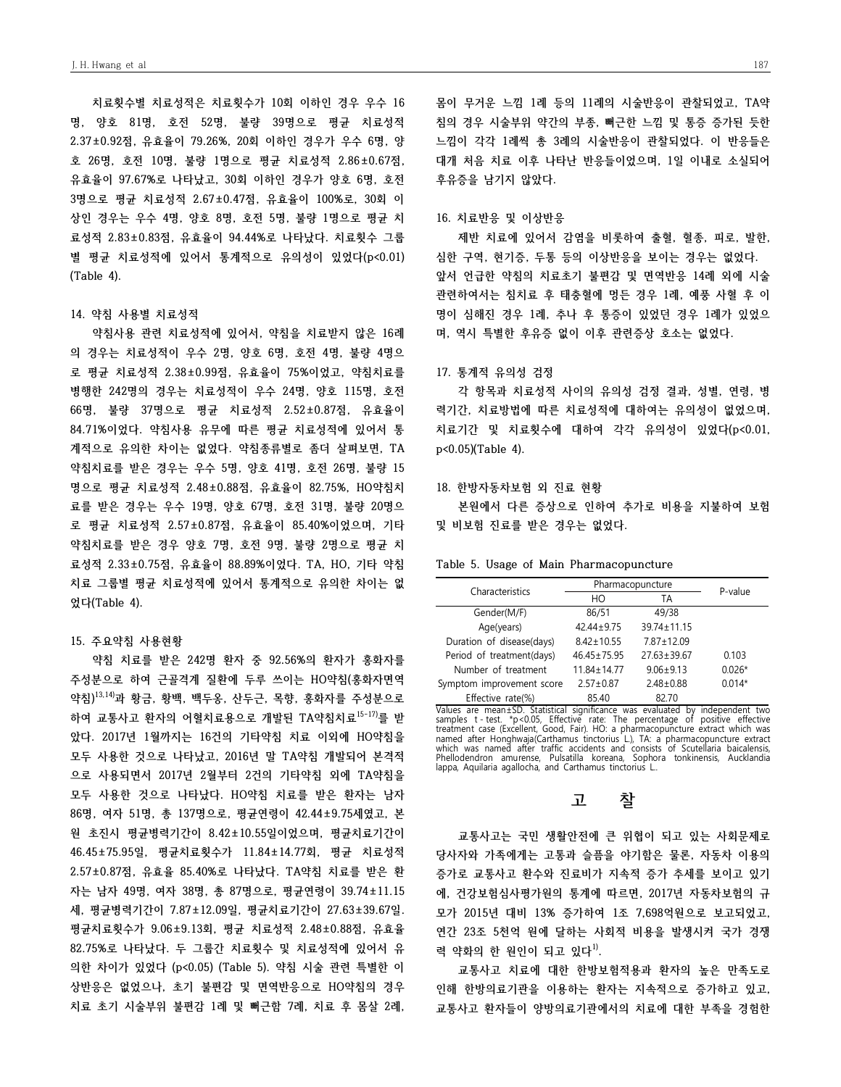**치료횟수별 치료성적은 치료횟수가 10회 이하인 경우 우수 16 명, 양호 81명, 호전 52명, 불량 39명으로 평균 치료성적 2.37±0.92점, 유효율이 79.26%, 20회 이하인 경우가 우수 6명, 양 호 26명, 호전 10명, 불량 1명으로 평균 치료성적 2.86±0.67점, 유효율이 97.67%로 나타났고, 30회 이하인 경우가 양호 6명, 호전 3명으로 평균 치료성적 2.67±0.47점, 유효율이 100%로, 30회 이 상인 경우는 우수 4명, 양호 8명, 호전 5명, 불량 1명으로 평균 치 료성적 2.83±0.83점, 유효율이 94.44%로 나타났다. 치료횟수 그룹 별 평균 치료성적에 있어서 통계적으로 유의성이 있었다(p<0.01) (Table 4).**

#### **14. 약침 사용별 치료성적**

**약침사용 관련 치료성적에 있어서, 약침을 치료받지 않은 16례 의 경우는 치료성적이 우수 2명, 양호 6명, 호전 4명, 불량 4명으 로 평균 치료성적 2.38±0.99점, 유효율이 75%이었고, 약침치료를 병행한 242명의 경우는 치료성적이 우수 24명, 양호 115명, 호전 66명, 불량 37명으로 평균 치료성적 2.52±0.87점, 유효율이 84.71%이었다. 약침사용 유무에 따른 평균 치료성적에 있어서 통 계적으로 유의한 차이는 없었다. 약침종류별로 좀더 살펴보면, TA 약침치료를 받은 경우는 우수 5명, 양호 41명, 호전 26명, 불량 15 명으로 평균 치료성적 2.48±0.88점, 유효율이 82.75%, HO약침치 료를 받은 경우는 우수 19명, 양호 67명, 호전 31명, 불량 20명으 로 평균 치료성적 2.57±0.87점, 유효율이 85.40%이었으며, 기타 약침치료를 받은 경우 양호 7명, 호전 9명, 불량 2명으로 평균 치 료성적 2.33±0.75점, 유효율이 88.89%이었다. TA, HO, 기타 약침 치료 그룹별 평균 치료성적에 있어서 통계적으로 유의한 차이는 없 었다(Table 4).**

#### **15. 주요약침 사용현황**

**약침 치료를 받은 242명 환자 중 92.56%의 환자가 홍화자를 주성분으로 하여 근골격계 질환에 두루 쓰이는 HO약침(홍화자면역 약침) 13,14)과 황금, 황백, 백두옹, 산두근, 목향, 홍화자를 주성분으로 하여 교통사고 환자의 어혈치료용으로 개발된 TA약침치료15-17)를 받 았다. 2017년 1월까지는 16건의 기타약침 치료 이외에 HO약침을 모두 사용한 것으로 나타났고, 2016년 말 TA약침 개발되어 본격적 으로 사용되면서 2017년 2월부터 2건의 기타약침 외에 TA약침을 모두 사용한 것으로 나타났다. HO약침 치료를 받은 환자는 남자 86명, 여자 51명, 총 137명으로, 평균연령이 42.44±9.75세였고, 본 원 초진시 평균병력기간이 8.42±10.55일이었으며, 평균치료기간이 46.45±75.95일, 평균치료횟수가 11.84±14.77회, 평균 치료성적 2.57±0.87점, 유효율 85.40%로 나타났다. TA약침 치료를 받은 환 자는 남자 49명, 여자 38명, 총 87명으로, 평균연령이 39.74±11.15 세, 평균병력기간이 7.87±12.09일, 평균치료기간이 27.63±39.67일. 평균치료횟수가 9.06±9.13회, 평균 치료성적 2.48±0.88점, 유효율 82.75%로 나타났다. 두 그룹간 치료횟수 및 치료성적에 있어서 유 의한 차이가 있었다 (p<0.05) (Table 5). 약침 시술 관련 특별한 이 상반응은 없었으나, 초기 불편감 및 면역반응으로 HO약침의 경우 치료 초기 시술부위 불편감 1례 및 뻐근함 7례, 치료 후 몸살 2례,**

**몸이 무거운 느낌 1례 등의 11례의 시술반응이 관찰되었고, TA약 침의 경우 시술부위 약간의 부종, 뻐근한 느낌 및 통증 증가된 듯한 느낌이 각각 1례씩 총 3례의 시술반응이 관찰되었다. 이 반응들은 대개 처음 치료 이후 나타난 반응들이었으며, 1일 이내로 소실되어 후유증을 남기지 않았다.**

# **16. 치료반응 및 이상반응**

**제반 치료에 있어서 감염을 비롯하여 출혈, 혈종, 피로, 발한, 심한 구역, 현기증, 두통 등의 이상반응을 보이는 경우는 없었다. 앞서 언급한 약침의 치료초기 불편감 및 면역반응 14례 외에 시술 관련하여서는 침치료 후 태충혈에 멍든 경우 1례, 예풍 사혈 후 이 명이 심해진 경우 1례, 추나 후 통증이 있었던 경우 1례가 있었으 며, 역시 특별한 후유증 없이 이후 관련증상 호소는 없었다.**

## **17. 통계적 유의성 검정**

**각 항목과 치료성적 사이의 유의성 검정 결과, 성별, 연령, 병 력기간, 치료방법에 따른 치료성적에 대하여는 유의성이 없었으며, 치료기간 및 치료횟수에 대하여 각각 유의성이 있었다(p<0.01, p<0.05)(Table 4).**

#### **18. 한방자동차보험 외 진료 현황**

**본원에서 다른 증상으로 인하여 추가로 비용을 지불하여 보험 및 비보험 진료를 받은 경우는 없었다.**

#### **Table 5. Usage of Main Pharmacopuncture**

| Characteristics           | Pharmacopuncture  | P-value           |          |
|---------------------------|-------------------|-------------------|----------|
|                           | HO                | ΤA                |          |
| Gender(M/F)               | 86/51             | 49/38             |          |
| Age(years)                | $42.44 + 9.75$    | 39.74±11.15       |          |
| Duration of disease(days) | $8.42 \pm 10.55$  | 7.87±12.09        |          |
| Period of treatment(days) | $46.45 \pm 75.95$ | $27.63 \pm 39.67$ | 0.103    |
| Number of treatment       | $11.84 \pm 14.77$ | $9.06 \pm 9.13$   | $0.026*$ |
| Symptom improvement score | $2.57 + 0.87$     | $2.48 \pm 0.88$   | $0.014*$ |
| Effective rate(%)         | 85.40             | 82.70             |          |

Values are mean±SD. Statistical significance was evaluated by independent two samples t-test. \*p<0.05, Effective rate: The percentage of positive effective treatment case (Excellent, Good, Fair). HO: a pharmacopuncture extract which was named after Honghwaja(Carthamus tinctorius L.), TA: a pharmacopuncture extract which was named after traffic accidents and consists of Scutellaria baicalensis, Phellodendron amurense, Pulsatilla koreana, Sophora tonkinensis, Aucklandia lappa, Aquilaria agallocha, and Carthamus tinctorius L..

# **고 찰**

**교통사고는 국민 생활안전에 큰 위협이 되고 있는 사회문제로 당사자와 가족에게는 고통과 슬픔을 야기함은 물론, 자동차 이용의 증가로 교통사고 환수와 진료비가 지속적 증가 추세를 보이고 있기 에, 건강보험심사평가원의 통계에 따르면, 2017년 자동차보험의 규 모가 2015년 대비 13% 증가하여 1조 7,698억원으로 보고되었고, 연간 23조 5천억 원에 달하는 사회적 비용을 발생시켜 국가 경쟁 력 약화의 한 원인이 되고 있다1) .**

**교통사고 치료에 대한 한방보험적용과 환자의 높은 만족도로 인해 한방의료기관을 이용하는 환자는 지속적으로 증가하고 있고, 교통사고 환자들이 양방의료기관에서의 치료에 대한 부족을 경험한**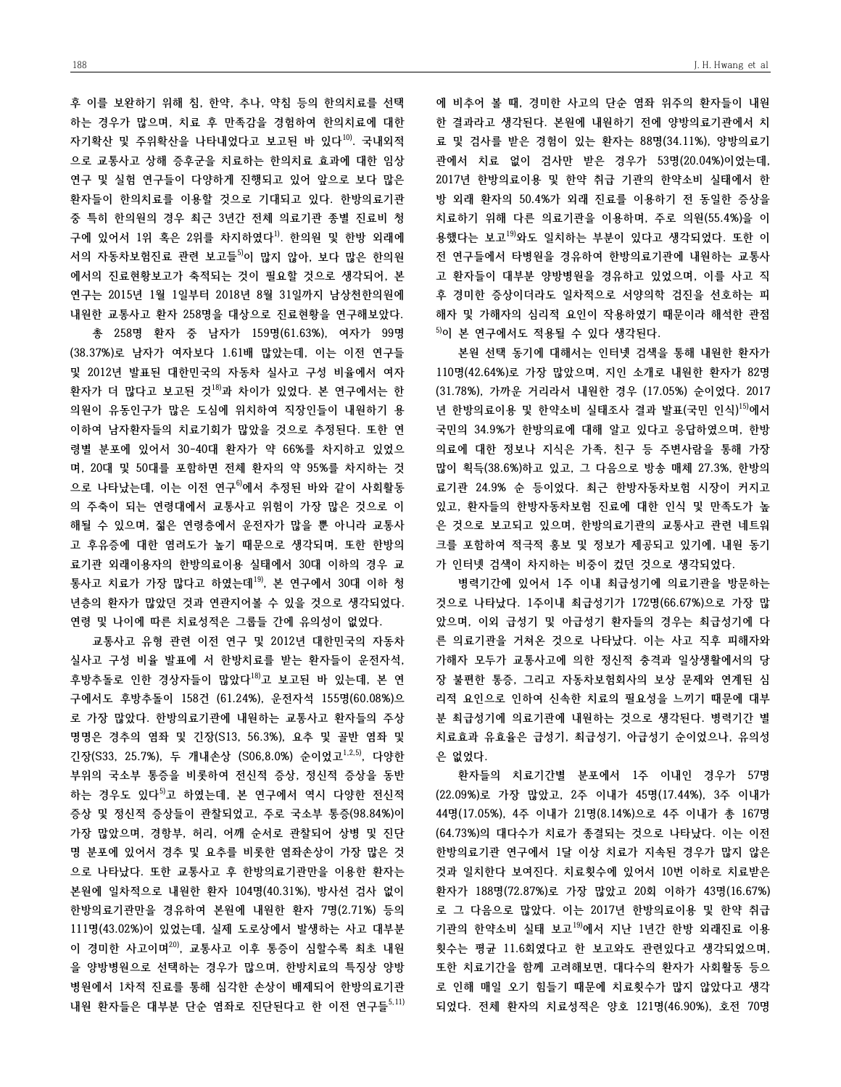**후 이를 보완하기 위해 침, 한약, 추나, 약침 등의 한의치료를 선택 하는 경우가 많으며, 치료 후 만족감을 경험하여 한의치료에 대한 자기확산 및 주위확산을 나타내었다고 보고된 바 있다10) . 국내외적 으로 교통사고 상해 증후군을 치료하는 한의치료 효과에 대한 임상 연구 및 실험 연구들이 다양하게 진행되고 있어 앞으로 보다 많은 환자들이 한의치료를 이용할 것으로 기대되고 있다. 한방의료기관 중 특히 한의원의 경우 최근 3년간 전체 의료기관 종별 진료비 청 구에 있어서 1위 혹은 2위를 차지하였다1) . 한의원 및 한방 외래에 서의 자동차보험진료 관련 보고들5)이 많지 않아, 보다 많은 한의원 에서의 진료현황보고가 축적되는 것이 필요할 것으로 생각되어, 본 연구는 2015년 1월 1일부터 2018년 8월 31일까지 남상천한의원에 내원한 교통사고 환자 258명을 대상으로 진료현황을 연구해보았다.**

**총 258명 환자 중 남자가 159명(61.63%), 여자가 99명 (38.37%)로 남자가 여자보다 1.61배 많았는데, 이는 이전 연구들 및 2012년 발표된 대한민국의 자동차 실사고 구성 비율에서 여자 환자가 더 많다고 보고된 것18)과 차이가 있었다. 본 연구에서는 한 의원이 유동인구가 많은 도심에 위치하여 직장인들이 내원하기 용 이하여 남자환자들의 치료기회가 많았을 것으로 추정된다. 또한 연 령별 분포에 있어서 30-40대 환자가 약 66%를 차지하고 있었으 며, 20대 및 50대를 포함하면 전체 환자의 약 95%를 차지하는 것 으로 나타났는데, 이는 이전 연구6)에서 추정된 바와 같이 사회활동 의 주축이 되는 연령대에서 교통사고 위험이 가장 많은 것으로 이 해될 수 있으며, 젊은 연령층에서 운전자가 많을 뿐 아니라 교통사 고 후유증에 대한 염려도가 높기 때문으로 생각되며, 또한 한방의 료기관 외래이용자의 한방의료이용 실태에서 30대 이하의 경우 교 통사고 치료가 가장 많다고 하였는데19) , 본 연구에서 30대 이하 청 년층의 환자가 많았던 것과 연관지어볼 수 있을 것으로 생각되었다. 연령 및 나이에 따른 치료성적은 그룹들 간에 유의성이 없었다.**

**교통사고 유형 관련 이전 연구 및 2012년 대한민국의 자동차 실사고 구성 비율 발표에 서 한방치료를 받는 환자들이 운전자석, 후방추돌로 인한 경상자들이 많았다18)고 보고된 바 있는데, 본 연 구에서도 후방추돌이 158건 (61.24%), 운전자석 155명(60.08%)으 로 가장 많았다. 한방의료기관에 내원하는 교통사고 환자들의 주상 명명은 경추의 염좌 및 긴장(S13, 56.3%), 요추 및 골반 염좌 및 긴장(S33, 25.7%), 두 개내손상 (S06,8.0%) 순이었고1,2,5) , 다양한 부위의 국소부 통증을 비롯하여 전신적 증상, 정신적 증상을 동반 하는 경우도 있다5)고 하였는데, 본 연구에서 역시 다양한 전신적 증상 및 정신적 증상들이 관찰되었고, 주로 국소부 통증(98.84%)이 가장 많았으며, 경항부, 허리, 어깨 순서로 관찰되어 상병 및 진단 명 분포에 있어서 경추 및 요추를 비롯한 염좌손상이 가장 많은 것 으로 나타났다. 또한 교통사고 후 한방의료기관만을 이용한 환자는 본원에 일차적으로 내원한 환자 104명(40.31%), 방사선 검사 없이 한방의료기관만을 경유하여 본원에 내원한 환자 7명(2.71%) 등의 111명(43.02%)이 있었는데, 실제 도로상에서 발생하는 사고 대부분 이 경미한 사고이며20) , 교통사고 이후 통증이 심할수록 최초 내원 을 양방병원으로 선택하는 경우가 많으며, 한방치료의 특징상 양방 병원에서 1차적 진료를 통해 심각한 손상이 배제되어 한방의료기관 내원 환자들은 대부분 단순 염좌로 진단된다고 한 이전 연구들5,11)** **에 비추어 볼 때, 경미한 사고의 단순 염좌 위주의 환자들이 내원 한 결과라고 생각된다. 본원에 내원하기 전에 양방의료기관에서 치 료 및 검사를 받은 경험이 있는 환자는 88명(34.11%), 양방의료기 관에서 치료 없이 검사만 받은 경우가 53명(20.04%)이었는데, 2017년 한방의료이용 및 한약 취급 기관의 한약소비 실태에서 한 방 외래 환자의 50.4%가 외래 진료를 이용하기 전 동일한 증상을 치료하기 위해 다른 의료기관을 이용하며, 주로 의원(55.4%)을 이 용했다는 보고19)와도 일치하는 부분이 있다고 생각되었다. 또한 이 전 연구들에서 타병원을 경유하여 한방의료기관에 내원하는 교통사 고 환자들이 대부분 양방병원을 경유하고 있었으며, 이를 사고 직 후 경미한 증상이더라도 일차적으로 서양의학 검진을 선호하는 피 해자 및 가해자의 심리적 요인이 작용하였기 때문이라 해석한 관점 5)이 본 연구에서도 적용될 수 있다 생각된다.**

**본원 선택 동기에 대해서는 인터넷 검색을 통해 내원한 환자가 110명(42.64%)로 가장 많았으며, 지인 소개로 내원한 환자가 82명 (31.78%), 가까운 거리라서 내원한 경우 (17.05%) 순이었다. 2017 년 한방의료이용 및 한약소비 실태조사 결과 발표(국민 인식) 15)에서 국민의 34.9%가 한방의료에 대해 알고 있다고 응답하였으며, 한방 의료에 대한 정보나 지식은 가족, 친구 등 주변사람을 통해 가장 많이 획득(38.6%)하고 있고, 그 다음으로 방송 매체 27.3%, 한방의 료기관 24.9% 순 등이었다. 최근 한방자동차보험 시장이 커지고 있고, 환자들의 한방자동차보험 진료에 대한 인식 및 만족도가 높 은 것으로 보고되고 있으며, 한방의료기관의 교통사고 관련 네트워 크를 포함하여 적극적 홍보 및 정보가 제공되고 있기에, 내원 동기 가 인터넷 검색이 차지하는 비중이 컸던 것으로 생각되었다.**

**병력기간에 있어서 1주 이내 최급성기에 의료기관을 방문하는 것으로 나타났다. 1주이내 최급성기가 172명(66.67%)으로 가장 많 았으며, 이외 급성기 및 아급성기 환자들의 경우는 최급성기에 다 른 의료기관을 거쳐온 것으로 나타났다. 이는 사고 직후 피해자와 가해자 모두가 교통사고에 의한 정신적 충격과 일상생활에서의 당 장 불편한 통증, 그리고 자동차보험회사의 보상 문제와 연계된 심 리적 요인으로 인하여 신속한 치료의 필요성을 느끼기 때문에 대부 분 최급성기에 의료기관에 내원하는 것으로 생각된다. 병력기간 별 치료효과 유효율은 급성기, 최급성기, 아급성기 순이었으나, 유의성 은 없었다.**

**환자들의 치료기간별 분포에서 1주 이내인 경우가 57명 (22.09%)로 가장 많았고, 2주 이내가 45명(17.44%), 3주 이내가 44명(17.05%), 4주 이내가 21명(8.14%)으로 4주 이내가 총 167명 (64.73%)의 대다수가 치료가 종결되는 것으로 나타났다. 이는 이전 한방의료기관 연구에서 1달 이상 치료가 지속된 경우가 많지 않은 것과 일치한다 보여진다. 치료횟수에 있어서 10번 이하로 치료받은 환자가 188명(72.87%)로 가장 많았고 20회 이하가 43명(16.67%) 로 그 다음으로 많았다. 이는 2017년 한방의료이용 및 한약 취급 기관의 한약소비 실태 보고19)에서 지난 1년간 한방 외래진료 이용 횟수는 평균 11.6회였다고 한 보고와도 관련있다고 생각되었으며, 또한 치료기간을 함께 고려해보면, 대다수의 환자가 사회활동 등으 로 인해 매일 오기 힘들기 때문에 치료횟수가 많지 않았다고 생각 되었다. 전체 환자의 치료성적은 양호 121명(46.90%), 호전 70명**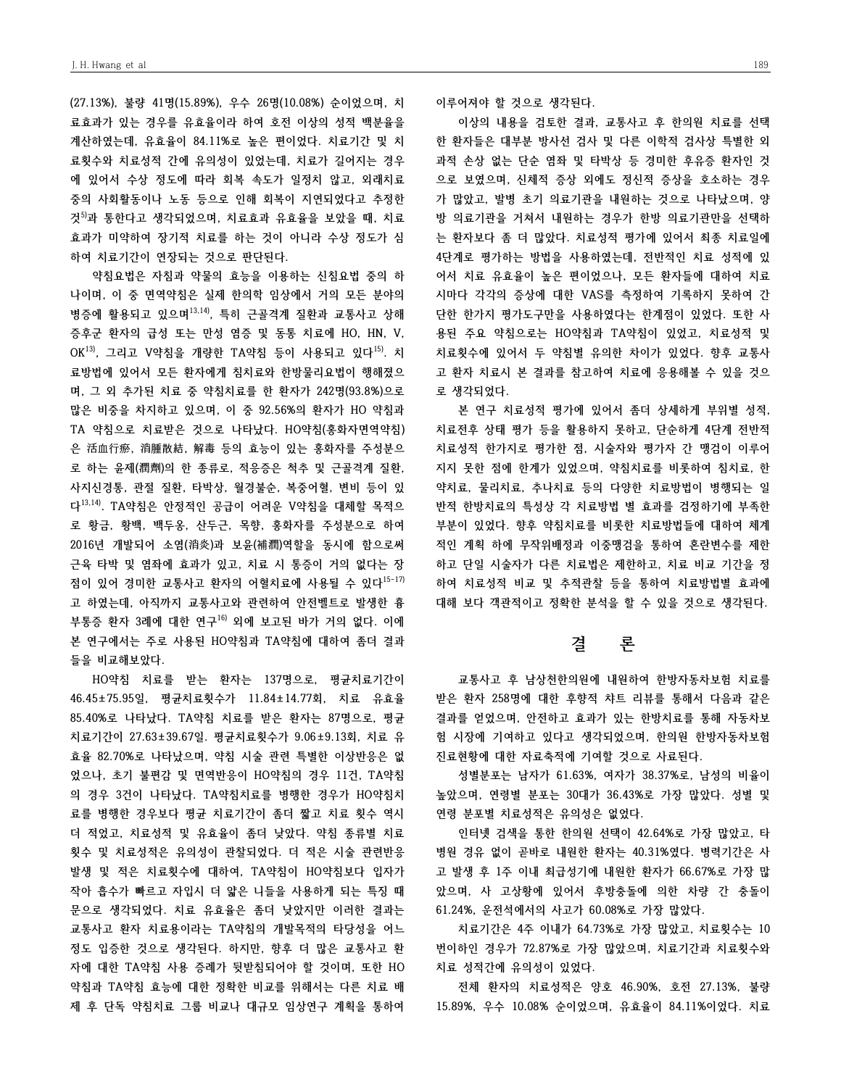**(27.13%), 불량 41명(15.89%), 우수 26명(10.08%) 순이었으며, 치 료효과가 있는 경우를 유효율이라 하여 호전 이상의 성적 백분율을 계산하였는데, 유효율이 84.11%로 높은 편이었다. 치료기간 및 치 료횟수와 치료성적 간에 유의성이 있었는데, 치료가 길어지는 경우 에 있어서 수상 정도에 따라 회복 속도가 일정치 않고, 외래치료 중의 사회활동이나 노동 등으로 인해 회복이 지연되었다고 추정한 것5)과 통한다고 생각되었으며, 치료효과 유효율을 보았을 때, 치료 효과가 미약하여 장기적 치료를 하는 것이 아니라 수상 정도가 심 하여 치료기간이 연장되는 것으로 판단된다.**

**약침요법은 자침과 약물의 효능을 이용하는 신침요법 중의 하 나이며, 이 중 면역약침은 실제 한의학 임상에서 거의 모든 분야의 병증에 활용되고 있으며13,14) , 특히 근골격계 질환과 교통사고 상해 증후군 환자의 급성 또는 만성 염증 및 동통 치료에 HO, HN, V, OK 13) , 그리고 V약침을 개량한 TA약침 등이 사용되고 있다15) . 치 료방법에 있어서 모든 환자에게 침치료와 한방물리요법이 행해졌으 며, 그 외 추가된 치료 중 약침치료를 한 환자가 242명(93.8%)으로 많은 비중을 차지하고 있으며, 이 중 92.56%의 환자가 HO 약침과 TA 약침으로 치료받은 것으로 나타났다. HO약침(홍화자면역약침) 은 活血行瘀, 消腫散結, 解毒 등의 효능이 있는 홍화자를 주성분으 로 하는 윤제(潤劑)의 한 종류로, 적응증은 척추 및 근골격계 질환, 사지신경통, 관절 질환, 타박상, 월경불순, 복중어혈, 변비 등이 있 다13,14) . TA약침은 안정적인 공급이 어려운 V약침을 대체할 목적으 로 황금, 황백, 백두옹, 산두근, 목향, 홍화자를 주성분으로 하여 2016년 개발되어 소염(消炎)과 보윤(補潤)역할을 동시에 함으로써 근육 타박 및 염좌에 효과가 있고, 치료 시 통증이 거의 없다는 장 점이 있어 경미한 교통사고 환자의 어혈치료에 사용될 수 있다15-17) 고 하였는데, 아직까지 교통사고와 관련하여 안전벨트로 발생한 흉 부통증 환자 3례에 대한 연구16) 외에 보고된 바가 거의 없다. 이에 본 연구에서는 주로 사용된 HO약침과 TA약침에 대하여 좀더 결과 들을 비교해보았다.**

**HO약침 치료를 받는 환자는 137명으로, 평균치료기간이 46.45±75.95일, 평균치료횟수가 11.84±14.77회, 치료 유효율 85.40%로 나타났다. TA약침 치료를 받은 환자는 87명으로, 평균 치료기간이 27.63±39.67일. 평균치료횟수가 9.06±9.13회, 치료 유 효율 82.70%로 나타났으며, 약침 시술 관련 특별한 이상반응은 없 었으나, 초기 불편감 및 면역반응이 HO약침의 경우 11건, TA약침 의 경우 3건이 나타났다. TA약침치료를 병행한 경우가 HO약침치 료를 병행한 경우보다 평균 치료기간이 좀더 짧고 치료 횟수 역시 더 적었고, 치료성적 및 유효율이 좀더 낮았다. 약침 종류별 치료 횟수 및 치료성적은 유의성이 관찰되었다. 더 적은 시술 관련반응 발생 및 적은 치료횟수에 대하여, TA약침이 HO약침보다 입자가 작아 흡수가 빠르고 자입시 더 얇은 니들을 사용하게 되는 특징 때 문으로 생각되었다. 치료 유효율은 좀더 낮았지만 이러한 결과는 교통사고 환자 치료용이라는 TA약침의 개발목적의 타당성을 어느 정도 입증한 것으로 생각된다. 하지만, 향후 더 많은 교통사고 환 자에 대한 TA약침 사용 증례가 뒷받침되어야 할 것이며, 또한 HO 약침과 TA약침 효능에 대한 정확한 비교를 위해서는 다른 치료 배 제 후 단독 약침치료 그룹 비교나 대규모 임상연구 계획을 통하여** **이루어져야 할 것으로 생각된다.**

**이상의 내용을 검토한 결과, 교통사고 후 한의원 치료를 선택 한 환자들은 대부분 방사선 검사 및 다른 이학적 검사상 특별한 외 과적 손상 없는 단순 염좌 및 타박상 등 경미한 후유증 환자인 것 으로 보였으며, 신체적 증상 외에도 정신적 증상을 호소하는 경우 가 많았고, 발병 초기 의료기관을 내원하는 것으로 나타났으며, 양 방 의료기관을 거쳐서 내원하는 경우가 한방 의료기관만을 선택하 는 환자보다 좀 더 많았다. 치료성적 평가에 있어서 최종 치료일에 4단계로 평가하는 방법을 사용하였는데, 전반적인 치료 성적에 있 어서 치료 유효율이 높은 편이었으나, 모든 환자들에 대하여 치료 시마다 각각의 증상에 대한 VAS를 측정하여 기록하지 못하여 간 단한 한가지 평가도구만을 사용하였다는 한계점이 있었다. 또한 사 용된 주요 약침으로는 HO약침과 TA약침이 있었고, 치료성적 및 치료횟수에 있어서 두 약침별 유의한 차이가 있었다. 향후 교통사 고 환자 치료시 본 결과를 참고하여 치료에 응용해볼 수 있을 것으 로 생각되었다.**

**본 연구 치료성적 평가에 있어서 좀더 상세하게 부위별 성적, 치료전후 상태 평가 등을 활용하지 못하고, 단순하게 4단계 전반적 치료성적 한가지로 평가한 점, 시술자와 평가자 간 맹검이 이루어 지지 못한 점에 한계가 있었으며, 약침치료를 비롯하여 침치료, 한 약치료, 물리치료, 추나치료 등의 다양한 치료방법이 병행되는 일 반적 한방치료의 특성상 각 치료방법 별 효과를 검정하기에 부족한 부분이 있었다. 향후 약침치료를 비롯한 치료방법들에 대하여 체계 적인 계획 하에 무작위배정과 이중맹검을 통하여 혼란변수를 제한 하고 단일 시술자가 다른 치료법은 제한하고, 치료 비교 기간을 정 하여 치료성적 비교 및 추적관찰 등을 통하여 치료방법별 효과에 대해 보다 객관적이고 정확한 분석을 할 수 있을 것으로 생각된다.**

# **결 론**

**교통사고 후 남상천한의원에 내원하여 한방자동차보험 치료를 받은 환자 258명에 대한 후향적 챠트 리뷰를 통해서 다음과 같은 결과를 얻었으며, 안전하고 효과가 있는 한방치료를 통해 자동차보 험 시장에 기여하고 있다고 생각되었으며, 한의원 한방자동차보험 진료현황에 대한 자료축적에 기여할 것으로 사료된다.**

**성별분포는 남자가 61.63%, 여자가 38.37%로, 남성의 비율이 높았으며, 연령별 분포는 30대가 36.43%로 가장 많았다. 성별 및 연령 분포별 치료성적은 유의성은 없었다.**

**인터넷 검색을 통한 한의원 선택이 42.64%로 가장 많았고, 타 병원 경유 없이 곧바로 내원한 환자는 40.31%였다. 병력기간은 사 고 발생 후 1주 이내 최급성기에 내원한 환자가 66.67%로 가장 많 았으며, 사 고상황에 있어서 후방충돌에 의한 차량 간 충돌이 61.24%, 운전석에서의 사고가 60.08%로 가장 많았다.**

**치료기간은 4주 이내가 64.73%로 가장 많았고, 치료횟수는 10 번이하인 경우가 72.87%로 가장 많았으며, 치료기간과 치료횟수와 치료 성적간에 유의성이 있었다.**

**전체 환자의 치료성적은 양호 46.90%, 호전 27.13%, 불량 15.89%, 우수 10.08% 순이었으며, 유효율이 84.11%이었다. 치료**